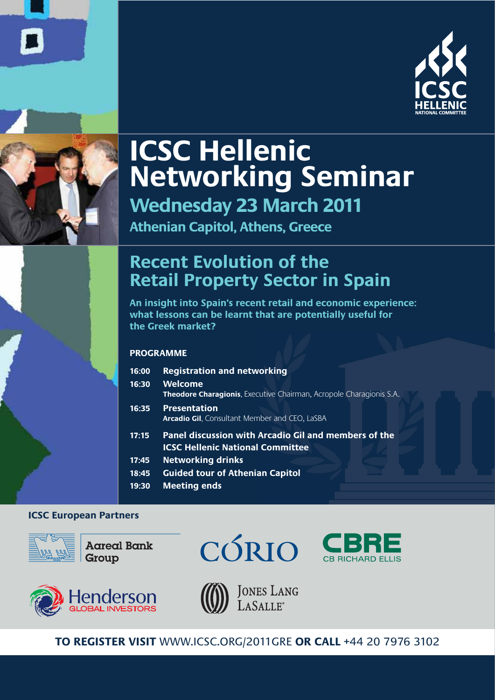



# **ICSC Hellenic Networking Seminar Wednesday 23 March 2011**

**Athenian Capitol, Athens, Greece**

# **Recent Evolution of the Retail Property Sector in Spain**

**An insight into Spain's recent retail and economic experience: what lessons can be learnt that are potentially useful for the Greek market?**

### **PROGRAMME**

| 16:00<br>16:30 | <b>Registration and networking</b><br>Welcome<br><b>Theodore Charagionis.</b> Executive Chairman, Acropole Charagionis S.A. |
|----------------|-----------------------------------------------------------------------------------------------------------------------------|
| 16:35          | <b>Presentation</b><br><b>Arcadio Gil, Consultant Member and CEO, LaSBA</b>                                                 |
| 17:15          | Panel discussion with Arcadio Gil and members of the<br><b>ICSC Hellenic National Committee</b>                             |
| 17:45          | <b>Networking drinks</b>                                                                                                    |
| 18:45          | <b>Guided tour of Athenian Capitol</b>                                                                                      |
| 19:30          | <b>Meeting ends</b>                                                                                                         |

### **ICSC European Partners**



**Aareal Bank** Group









**JONES LANG** LASALLE<sup>®</sup>

**TO REGISTER VISIT** WWW.ICSC.ORG/2011GRE **OR CALL** +44 20 7976 3102